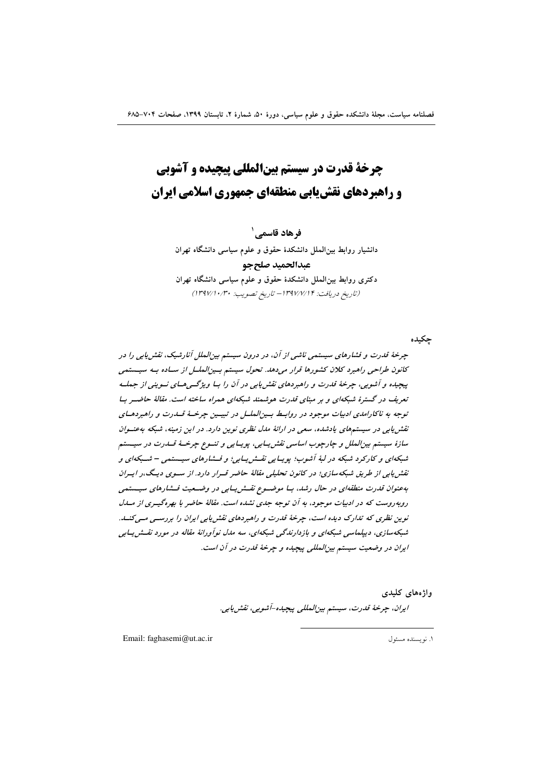# **چرخة قدرت در سیستم بینالمللی پیچیده و آشوبی و راهبردهای نقش یابی منطقهای جمهوری اسلامی ایران**

## **فرهاد قاسمی <sup>۱</sup>**

دانشیار روابط بین**الملل دانشکدهٔ حقوق و علوم سیاسی دانشگاه تهران** عبدالحميد صلحجو دکتری روابط بین**الملل دانشکدهٔ حقوق و علوم سیاسی دانشگاه تهران** (تاریخ دریافت: ۱۳۹۷/۷/۱۴ – تاریخ تصویب: ۱۳۹۷/۱۰/۳۰)

چکیده

چرخهٔ ق*د*رت و فشارهای سیستمی ناشی از آن، در درون سیستم بین/لملل آنارشیک، نقش یابی را در کانون طراحی راهبرد کلان کشورها قرار میدهد. تحول سیستم بـین|لملــل از ســاده بــه سیــستمی پیچیده و آشوبی، چرخهٔ قدرت و راهبردهای نقش یابی در آن را بـا ویژگــیهـای نــوینی از جملــه تعریف در گسترهٔ شبکهای و بر مبنای قدرت هوشمند شبکهای همراه ساخته است. مقالهٔ حاضــر بــا توجه به ناکاراملدی ادبیات موجود در روابـط بـین|لملــل در تبیــین چرخــهٔ قــلدرت و راهبردهــای تقش یابی در سیستمهای یادشده، سعی در ارائهٔ مدل نظری نوین دارد. در این زمینه، شبکه بهعنــوان سازهٔ سیستم بینالملل و چارچوب اساسی نقش ِیــابی، پویــایی و تنــوع چرخــهٔ قــدرت در سیــستم شبکهای و کارکرد شبکه در لبهٔ آشوب؛ پویسایی نقسش *پسابی؛ و فسشارهای سیسستمی – شسبکهای و* نقش یابی از طریق شبکه سازی؛ در کانون تحلیلی مقالهٔ حاضر قسرار دارد. از سسوی دینگ،ر ایسران به *عنوان قدرت منطقهای در حال رشد، بــا موضــوع نقــش پــابی در وضــعیت فــشارهای سیــستمی* روبه روست که در ادبیات موجود، به آن توجه جدی نشده است. مقالهٔ حاضر با بهرهگیـری از مــلل نوین نظری که تدارک دیده است، چرخهٔ قدرت و راهبردهای نقش یابی ایران را بررســی مــیکنــد. شبکه سازی، دیپلماسی شبکهای و بازدارندگی شبکهای، سه مدل نوآورانهٔ مقاله در مورد نقــش1پــابی ایران در وضعیت سیستم بین|لمللی پیچیده و چرخهٔ قدرت در آن است.

**واژەھای کلیدی** 

ايران، چرخهٔ قدرت، سیستم بین|لمللی پیچیده–آشوبی، نقش یابی.

 $\overline{a}$ 

Email: faghasemi@ut.ac.ir 1 .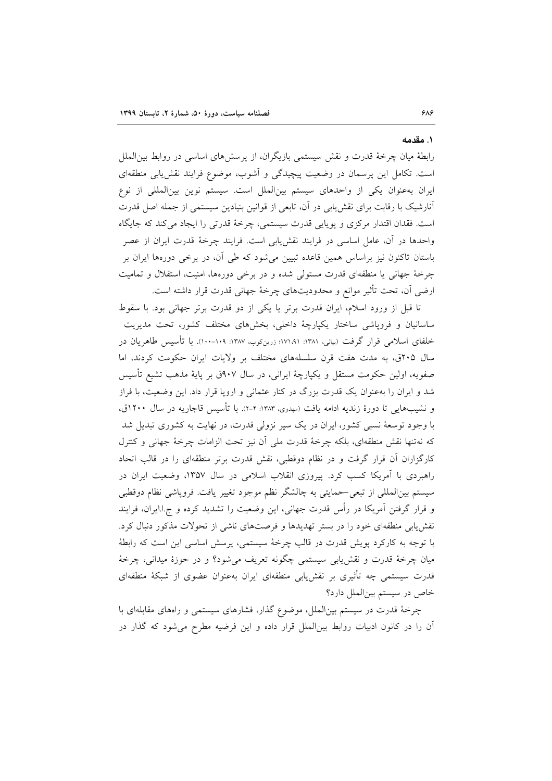۱. مقدمه

رابطهٔ میان چرخهٔ قدرت و نقش سیستمی بازیگران، از پرسشهای اساسی در روابط بین|لملل است. تکامل این پرسمان در وضعیت پیچیدگی و آشوب، موضوع فرایند نقش یابی منطقهای ایران بهعنوان یکی از واحدهای سیستم بینالملل است. سیستم نوین بینالمللی از نوع آنارشیک با رقابت برای نقش پابی در آن، تابعی از قوانین بنیادین سیستمی از جمله اصل قدرت است. فقدان اقتدار مرکزی و پویایی قدرت سیستمی، چرخهٔ قدرتی را ایجاد میکند که جایگاه واحدها در آن، عامل اساسی در فرایند نقش یابی است. فرایند چرخهٔ قدرت ایران از عصر باستان تاکنون نیز براساس همین قاعده تبیین میشود که طی آن، در برخی دورهها ایران بر چرخهٔ جهانی یا منطقهای قدرت مستولی شده و در برخی دورهها، امنیت، استقلال و تمامیت ارضی آن، تحت تأثیر موانع و محدودیتهای چرخهٔ جهانی قدرت قرار داشته است.

تا قبل از ورود اسلام، ایران قدرت برتر یا یکی از دو قدرت برتر جهانی بود. با سقوط ساسانیان و فروپاشی ساختار یکپارچهٔ داخلی، بخشهای مختلف کشور، تحت مدیریت خلفای اسلامی قرار گرفت (بیانی، ۱۳۸۱: ۱۷۱٬۹۱؛ زرین،کوب، ۱۳۸۷: ۱۰۹–۱۰۰). با تأسیس طاهریان در سال ۲۰۵ق، به مدت هفت قرن سلسلههای مختلف بر ولایات ایران حکومت کردند، اما صفویه، اولین حکومت مستقل و یکپارچهٔ ایرانی، در سال ۹۰۷ق بر پایهٔ مذهب تشیع تأسیس شد و ایران را بهعنوان یک قدرت بزرگ در کنار عثمانی و اروپا قرار داد. این وضعیت، با فراز و نشیبهایی تا دورهٔ زندیه ادامه یافت (مهدوی، ۱۳۸۳: ۴-۲). با تأسیس قاجاریه در سال ۱۲۰۰ق، با وجود توسعهٔ نسبی کشور، ایران در یک سیر نزولی قدرت، در نهایت به کشوری تبدیل شد كه نهتنها نقش منطقهاى، بلكه چرخهٔ قدرت ملى آن نيز تحت الزامات چرخهٔ جهانى و كنترل کارگزاران آن قرار گرفت و در نظام دوقطبی، نقش قدرت برتر منطقهای را در قالب اتحاد راهبردی با آمریکا کسب کرد. پیروزی انقلاب اسلامی در سال ۱۳۵۷، وضعیت ایران در سیستم بینالمللی از تبعی–حمایتی به چالشگر نظم موجود تغییر یافت. فروپاشی نظام دوقطبی و قرار گرفتن آمریکا در رأس قدرت جهانی، این وضعیت را تشدید کرده و ج.ا.ایران، فرایند نقش یابی منطقهای خود را در بستر تهدیدها و فرصتهای ناشی از تحولات مذکور دنبال کرد. با توجه به کارکرد پویش قدرت در قالب چرخهٔ سیستمی، پرسش اساسی این است که رابطهٔ ميان چرخهٔ قدرت و نقش!بلي سيستمي چگونه تعريف ميشود؟ و در حوزهٔ ميداني، چرخهٔ قدرت سیستمی چه تأثیری بر نقش یابی منطقهای ایران بهعنوان عضوی از شبکهٔ منطقهای خاص در سیستم بینالملل دارد؟

چرخهٔ قدرت در سیستم بین|لملل، موضوع گذار، فشارهای سیستمی و راههای مقابلهای با أن را در کانون ادبیات روابط بینالملل قرار داده و این فرضیه مطرح میشود که گذار در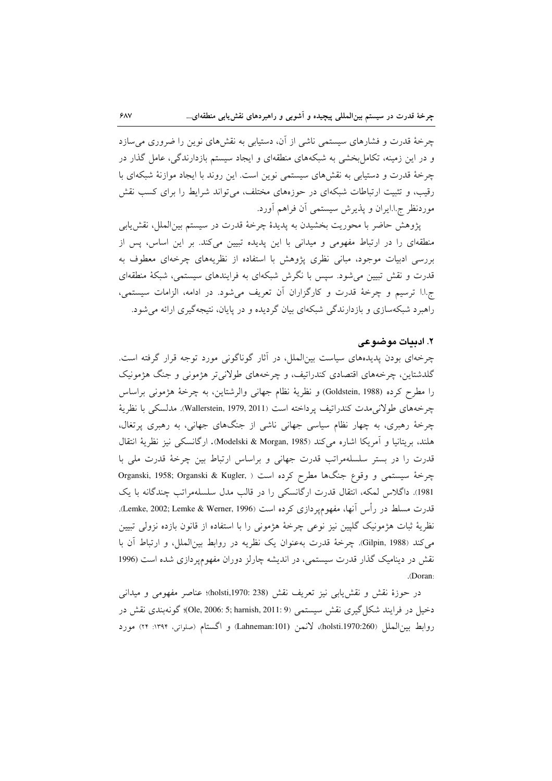چرخهٔ قدرت و فشارهای سیستمی ناشی از آن، دستیابی به نقشهای نوین را ضروری می سازد و در این زمینه، تکامل بخشی به شبکههای منطقهای و ایجاد سیستم بازدارندگی، عامل گذار در چرخهٔ قدرت و دستیابی به نقشهای سیستمی نوین است. این روند با ایجاد موازنهٔ شبکهای با رقیب، و تثبیت ارتباطات شبکهای در حوزههای مختلف، می تواند شرایط را برای کسب نقش موردنظر ج.ا.ايران و پذيرش سيستمي آن فراهم آورد.

يژوهش حاضر با محوريت بخشيدن به پديدهٔ چرخهٔ قدرت در سيستم بينالملل، نقش يابي منطقهای را در ارتباط مفهومی و میدانی با این پدیده تبیین میکند. بر این اساس، پس از بررسی ادبیات موجود، مبانی نظری پژوهش با استفاده از نظریههای چرخهای معطوف به قدرت و نقش تبیین میشود. سپس با نگرش شبکهای به فرایندهای سیستمی، شبکهٔ منطقهای ج!! ترسيم و چرخهٔ قدرت و كارگزاران آن تعريف مي شود. در ادامه، الزامات سيستمي، راهبرد شبکهسازی و بازدارندگی شبکهای بیان گردیده و در پایان، نتیجهگیری ارائه می شود.

#### ۲. ادبیات موضوعی

چرخهای بودن پدیدههای سیاست بین|لملل، در آثار گوناگونی مورد توجه قرار گرفته است. گلدشتاین، چرخههای اقتصادی کندراتیف، و چرخههای طولانیتر هژمونی و جنگ هژمونیک را مطرح كرده (Goldstein, 1988) و نظرية نظام جهاني والرشتاين، به چرخهٔ هژموني براساس چرخههای طولانی مدت کندراتیف پرداخته است (Wallerstein, 1979, 2011). مدلسکی با نظریهٔ چرخهٔ رهبری، به چهار نظام سیاسی جهانی ناشی از جنگهای جهانی، به رهبری پرتغال، هلند، بريتانيا و آمريكا اشاره مي كند (Modelski & Morgan, 1985). ارگانسكي نيز نظرية انتقال قدرت را در بستر سلسلهمراتب قدرت جهانی و براساس ارتباط بین چرخهٔ قدرت ملی با چرخهٔ سیستمی و وقوع جنگها مطرح کرده است ( Organski, 1958; Organski & Kugler, 1981). داگلاس لمکه، انتقال قدرت ارگانسکی را در قالب مدل سلسلهمراتب چندگانه با یک قدرت مسلط در رأس آنها، مفهومپردازی کرده است (Lemke, 2002; Lemke & Werner, 1996). نظریهٔ ثبات هژمونیک گلیین نیز نوعی چرخهٔ هژمونی را با استفاده از قانون بازده نزولی تبیین مي كند (Gilpin, 1988). جرخهٔ قدرت بهعنوان يك نظريه در روابط بين(لملل، و ارتباط آن با نقش در دینامیک گذار قدرت سیستمی، در اندیشه چارلز دوران مفهومپردازی شده است (1996 (Doran-

در حوزهٔ نقش و نقش یابی نیز تعریف نقش (holsti,1970: 238)؛ عناصر مفهومی و میدانی دخیل در فرایند شکل گیری نقش سیستمی (Ole, 2006: 5; harnish, 2011: 9)؛ گونهبندی نقش در روابط بين|لملل (holsti.1970:260)، لانمن (Lahneman:101) و اگستام (صلواتي، ١٣٩۴: ٢۴) مورد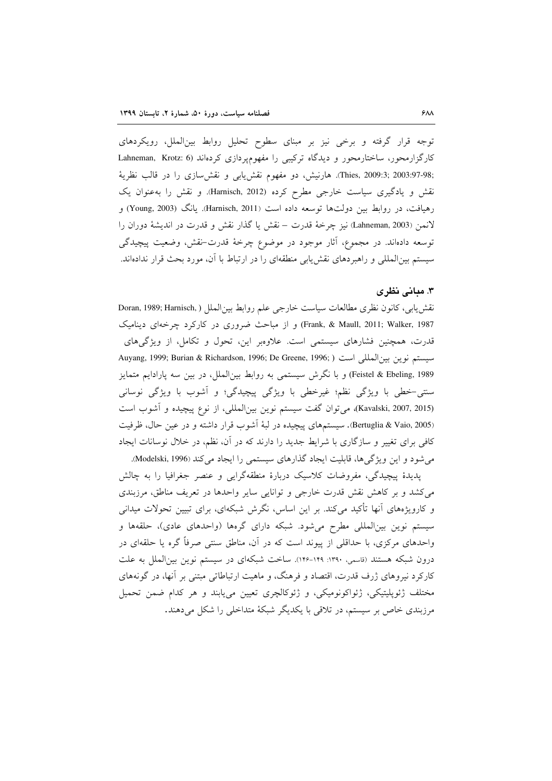توجه قرار گرفته و برخی نیز بر مبنای سطوح تحلیل روابط بین|لملل، رویکردهای کارگزارمحور، ساختارمحور و دیدگاه ترکیبی را مفهوم یردازی کردهاند (Lahneman, Krotz: 6 :Thies, 2009:3; 2003:97-98). هارنیش، دو مفهوم نقش یابی و نقش سازی را در قالب نظریهٔ نقش و یادگیری سیاست خارجی مطرح کرده (Harnisch, 2012). و نقش را به عنوان یک رهیافت، در روابط بین دولتها توسعه داده است (Harnisch, 2011). یانگ (Young, 2003) و لانمن (Lahneman, 2003) نيز چرخهٔ قدرت – نقش يا گذار نقش و قدرت در انديشهٔ دوران را توسعه دادهاند. در مجموع، آثار موجود در موضوع چرخهٔ قدرت-نقش، وضعیت پیچیدگی سیستم بینالمللی و راهبردهای نقش پابی منطقهای را در ارتباط با آن، مورد بحث قرار ندادهاند.

#### ۳. مبانی نظری

نقش،يابي، كانون نظري مطالعات سياست خارجي علم روابط بين(لملل ( ,Doran, 1989; Harnisch Frank, & Maull, 2011; Walker, 1987) و از مباحث ضروری در کارکرد چرخهای دینامیک قدرت، همچنین فشارهای سیستمی است. علاوهبر این، تحول و تکامل، از ویژگیهای Auyang, 1999; Burian & Richardson, 1996; De Greene, 1996; ) سيستم نوين بين المللي است Feistel & Ebeling, 1989) و با نگرش سیستمی به روابط بینالملل، در بین سه پارادایم متمایز سنتي-خطي با ويژگي نظم؛ غيرخطي با ويژگي پيچيدگي؛ و اَشوب با ويژگي نوساني (Kavalski, 2007, 2015)، می توان گفت سیستم نوین بین المللی، از نوع پیچیده و آشوب است (Bertuglia & Vaio, 2005). سيستمهاي ييچيده در لبهٔ اَشوب قرار داشته و در عين حال، ظرفيت کافی برای تغییر و سازگاری با شرایط جدید را دارند که در آن، نظم، در خلال نوسانات ایجاد می شود و این ویژگی ها، قابلیت ایجاد گذارهای سیستمی را ایجاد می کند (Modelski, 1996).

یدیدهٔ پیچیدگی، مفروضات کلاسیک دربارهٔ منطقهگرایی و عنصر جغرافیا را به چالش می کشد و بر کاهش نقش قدرت خارجی و توانایی سایر واحدها در تعریف مناطق، مرزبندی و کارویژههای آنها تأکید میکند. بر این اساس، نگرش شبکهای، برای تبیین تحولات میدانی سیستم نوین بینالمللی مطرح میشود. شبکه دارای گرهها (واحدهای عادی)، حلقهها و واحدهای مرکزی، با حداقلی از پیوند است که در آن، مناطق سنتی صرفاً گره یا حلقهای در درون شبکه هستند (قاسمی، ۱۳۹۰ـ ۱۲۹-۱۲۶). ساخت شبکهای در سیستم نوین بینالملل به علت کارکرد نیروهای ژرف قدرت، اقتصاد و فرهنگ، و ماهیت ارتباطاتی مبتنی بر آنها، در گونههای مختلف ژئوپلیتیکی، ژئواکونومیکی، و ژئوکالچری تعیین می،یابند و هر کدام ضمن تحمیل مرزبندی خاص بر سیستم، در تلاقی با یکدیگر شبکهٔ متداخلی را شکل میدهند.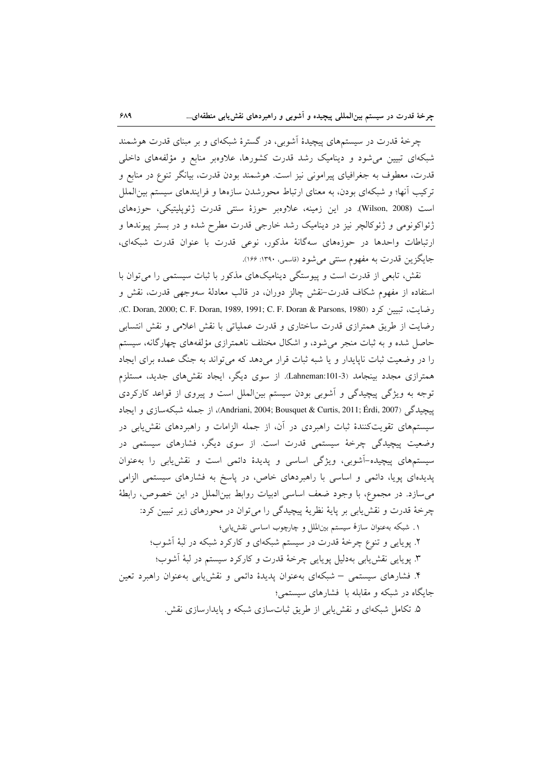چرخهٔ قدرت در سیستمهای پیچیدهٔ اَشوبی، در گسترهٔ شبکهای و بر مبنای قدرت هوشمند شبکهای تبیین می شود و دینامیک رشد قدرت کشورها، علاوهبر منابع و مؤلفههای داخلی قدرت، معطوف به جغرافیای پیرامونی نیز است. هوشمند بودن قدرت، بیانگر تنوع در منابع و ترکیب آنها؛ و شبکهای بودن، به معنای ارتباط محورشدن سازهها و فرایندهای سیستم بین|لملل است (Wilson, 2008). در این زمینه، علاوهبر حوزهٔ سنتی قدرت ژئوپلیتیکی، حوزههای ژئواکونومی و ژئوکالچر نیز در دینامیک رشد خارجی قدرت مطرح شده و در بستر پیوندها و ارتباطات واحدها در حوزههاى سهگانهٔ مذكور، نوعى قدرت با عنوان قدرت شبكهاى، جايگزين قدرت به مفهوم سنتي مي شود (قاسمي، ١٣٩٠: ١۶۶).

نقش، تابعی از قدرت است و پیوستگی دینامیکهای مذکور با ثبات سیستمی را می توان با استفاده از مفهوم شکاف قدرت–نقش چالز دوران، در قالب معادلهٔ سهوجهی قدرت، نقش و رضايت، تبيين كرد (C. Doran, 2000; C. F. Doran, 1989, 1991; C. F. Doran & Parsons, 1980). رضایت از طریق همترازی قدرت ساختاری و قدرت عملیاتی با نقش اعلامی و نقش انتسابی حاصل شده و به ثبات منجر میشود، و اشکال مختلف ناهمترازی مؤلفههای چهارگانه، سیستم را در وضعیت ثبات ناپایدار و یا شبه ثبات قرار میدهد که می تواند به جنگ عمده برای ایجاد همترازی مجدد بینجامد (Lahneman:101-3). از سوی دیگر، ایجاد نقشهای جدید، مستلزم توجه به ویژگی پیچیدگی و اَشوبی بودن سیستم بینالملل است و پیروی از قواعد کارکردی بيچيدگي (Andriani, 2004; Bousquet & Curtis, 2011; Érdi, 2007)، از جمله شبكهسازي و ايجاد سیستمهای تقویتکنندهٔ ثبات راهبردی در آن، از جمله الزامات و راهبردهای نقش یابی در وضعیت پیچیدگی چرخهٔ سیستمی قدرت است. از سوی دیگر، فشارهای سیستمی در سیستمهای پیچیده-آشوبی، ویژگی اساسی و پدیدهٔ دائمی است و نقش یابی را بهعنوان پدیدهای پویا، دائمی و اساسی با راهبردهای خاص، در پاسخ به فشارهای سیستمی الزامی می سازد. در مجموع، با وجود ضعف اساسی ادبیات روابط بین الملل در این خصوص، رابطهٔ چرخهٔ قدرت و نقش یابی بر پایهٔ نظریهٔ پیچیدگی را میتوان در محورهای زیر تبیین کرد:

١. شبكه بهعنوان سازهٔ سيستم بينالملل و چارچوب اساسى نقش يابي؛

۲. پویایی و تنوع چرخهٔ قدرت در سیستم شبکهای و کارکرد شبکه در لبهٔ اَشوب؛

۳. پویایی نقش یابی بهدلیل پویایی چرخهٔ قدرت و کارکرد سیستم در لبهٔ أشوب؛

۴. فشارهای سیستمی – شبکهای بهعنوان پدیدهٔ دائمی و نقش،یابی بهعنوان راهبرد تعین جایگاه در شبکه و مقابله با فشارهای سیستمی؛

۵. تکامل شبکهای و نقش یابی از طریق ثباتسازی شبکه و پایدارسازی نقش.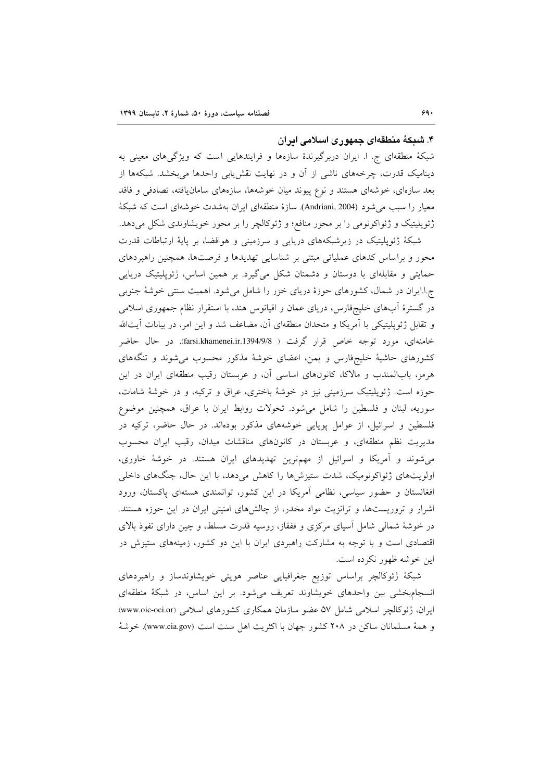#### ۴. شبکهٔ منطقهای جمهوری اسلامی ایران

شبکهٔ منطقهای ج ا. ایران دربرگیرندهٔ سازهها و فرایندهایی است که ویژگیهای معینی به دینامیک قدرت، چرخههای ناشی از آن و در نهایت نقش،یابی واحدها می بخشد. شبکهها از بعد سازمای، خوشهای هستند و نوع پیوند میان خوشهها، سازمهای سامان یافته، تصادفی و فاقد معیار را سبب می شود (Andriani, 2004). سازهٔ منطقهای ایران بهشدت خوشهای است که شبکهٔ ژئوپلیتیک و ژئواکونومی را بر محور منافع؛ و ژئوکالچر را بر محور خویشاوندی شکل میدهد.

شبکهٔ ژئوپلیتیک در زیرشبکههای دریایی و سرزمینی و هوافضا، بر پایهٔ ارتباطات قدرت محور و براساس کدهای عملیاتی مبتنی بر شناسایی تهدیدها و فرصتها، همچنین راهبردهای حمایتی و مقابلهای با دوستان و دشمنان شکل میگیرد. بر همین اساس، ژئوپلیتیک دریایی ج.ا.ایران در شمال، کشورهای حوزهٔ دریای خزر را شامل میشود. اهمیت سنتی خوشهٔ جنوبی در گسترهٔ آبهای خلیجفارس، دریای عمان و اقیانوس هند، با استقرار نظام جمهوری اسلامی و تقابل ژئوپلیتیکی با آمریکا و متحدان منطقهای آن، مضاعف شد و این امر، در بیانات آیتالله خامنهای، مورد توجه خاص قرار گرفت ( farsi.khamenei.ir.1394/9/8). در حال حاضر کشورهای حاشیهٔ خلیجفارس و یمن، اعضای خوشهٔ مذکور محسوب میشوند و تنگههای هرمز، بابالمندب و مالاکا، کانونهای اساسی آن، و عربستان رقیب منطقهای ایران در این حوزه است. ژئوپلیتیک سرزمینی نیز در خوشهٔ باختری، عراق و ترکیه، و در خوشهٔ شامات، سوریه، لبنان و فلسطین را شامل میشود. تحولات روابط ایران با عراق، همچنین موضوع فلسطین و اسرائیل، از عوامل پویایی خوشههای مذکور بودهاند. در حال حاضر، ترکیه در مدیریت نظم منطقهای، و عربستان در کانونهای مناقشات میدان، رقیب ایران محسوب می شوند و آمریکا و اسرائیل از مهم ترین تهدیدهای ایران هستند. در خوشهٔ خاوری، اولویتهای ژئواکونومیک، شدت ستیزشها را کاهش میدهد، با این حال، جنگهای داخلی افغانستان و حضور سیاسی، نظامی آمریکا در این کشور، توانمندی هستهای پاکستان، ورود اشرار و تروریستها، و ترانزیت مواد مخدر، از چالشهای امنیتی ایران در این حوزه هستند. در خوشهٔ شمالی شامل آسیای مرکزی و قفقاز، روسیه قدرت مسلط، و چین دارای نفوذ بالای اقتصادی است و با توجه به مشارکت راهبردی ایران با این دو کشور، زمینههای ستیزش در اين خوشه ظهور نكرده است.

شبکهٔ ژئوکالچر براساس توزیع جغرافیایی عناصر هویتی خویشاوندساز و راهبردهای انسجامبخشی بین واحدهای خویشاوند تعریف میشود. بر این اساس، در شبکهٔ منطقهای ایران، ژئوکالچر اسلامی شامل ۵۷ عضو سازمان همکاری کشورهای اسلامی (www.oic-oci.or) و همهٔ مسلمانان ساکن در ۲۰۸ کشور جهان با اکثریت اهل سنت است (www.cia.gov). خوشهٔ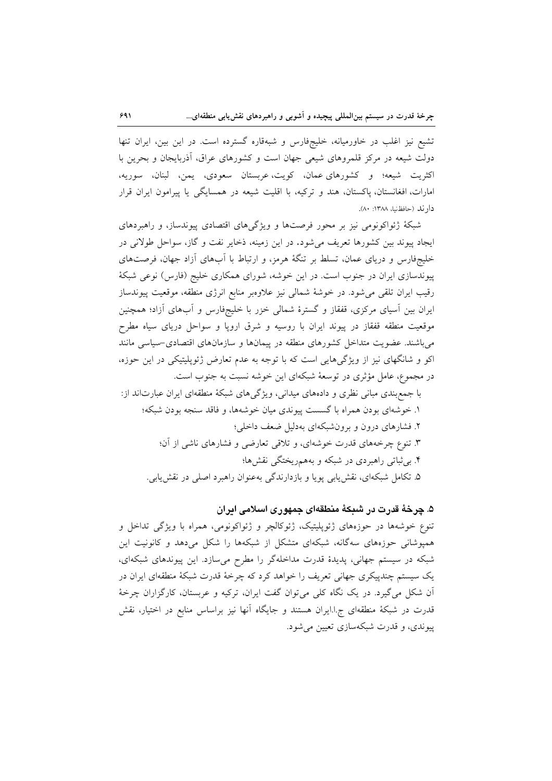تشیع نیز اغلب در خاورمیانه، خلیجفارس و شبهقاره گسترده است. در این بین، ایران تنها دولت شیعه در مرکز قلمروهای شیعی جهان است و کشورهای عراق، آذربایجان و بحرین با اكثريت شيعه؛ و كشورهاي عمان، كويت، عربستان سعودي، يمن، لبنان، سوريه، امارات، افغانستان، پاکستان، هند و ترکیه، با اقلیت شیعه در همسایگی یا پیرامون ایران قرار دارند (حافظنيا، ١٣٨٨: ٨٠).

شبکهٔ ژئواکونومی نیز بر محور فرصتها و ویژگیهای اقتصادی پیوندساز، و راهبردهای ایجاد پیوند بین کشورها تعریف میشود. در این زمینه، ذخایر نفت و گاز، سواحل طولانی در خلیجفارس و دریای عمان، تسلط بر تنگهٔ هرمز، و ارتباط با آبهای آزاد جهان، فرصتهای پیوندسازی ایران در جنوب است. در این خوشه، شورای همکاری خلیج (فارس) نوعی شبکهٔ رقیب ایران تلقی می شود. در خوشهٔ شمالی نیز علاوهبر منابع انرژی منطقه، موقعیت پیوندساز ایران بین اّسیای مرکزی، قفقاز و گسترهٔ شمالی خزر با خلیجفارس و اّبِهای اَزاد؛ همچنین موقعیت منطقه قفقاز در پیوند ایران با روسیه و شرق اروپا و سواحل دریای سیاه مطرح میباشند. عضویت متداخل کشورهای منطقه در پیمانها و سازمانهای اقتصادی-سیاسی مانند اکو و شانگهای نیز از ویژگیهایی است که با توجه به عدم تعارض ژئوپلیتیکی در این حوزه، در مجموع، عامل مؤثري در توسعهٔ شبکهاي اين خوشه نسبت به جنوب است.

با جمع بندی مبانی نظری و دادههای میدانی، ویژگیهای شبکهٔ منطقهای ایران عبارتاند از: ۱. خوشهای بودن همراه با گسست پیوندی میان خوشهها، و فاقد سنجه بودن شبکه؛ ۲. فشارهای درون و برونشبکهای بهدلیل ضعف داخلی؛ ۳. تنوع چرخههای قدرت خوشهای، و تلاقی تعارضی و فشارهای ناشی از آن؛ ۴. بی ثباتی راهبردی در شبکه و بههمریختگی نقشها؛ ۵. تکامل شبکهای، نقش یابی پویا و بازدارندگی بهعنوان راهبرد اصلی در نقش یابی.

۵. چرخهٔ قدرت در شبکهٔ منطقهای جمهوری اسلامی ایران تنوع خوشهها در حوزههای ژئوپلیتیک، ژئوکالچر و ژئواکونومی، همراه با ویژگی تداخل و همیوشانی حوزههای سهگانه، شبکهای متشکل از شبکهها را شکل میدهد و کانونیت این شبکه در سیستم جهانی، پدیدهٔ قدرت مداخلهگر را مطرح میسازد. این پیوندهای شبکهای، یک سیستم چندییکری جهانی تعریف را خواهد کرد که چرخهٔ قدرت شبکهٔ منطقهای ایران در آن شکل می گیرد. در یک نگاه کلی می توان گفت ایران، ترکیه و عربستان، کارگزاران چرخهٔ قدرت در شبکهٔ منطقهای ج.ا.ایران هستند و جایگاه آنها نیز براساس منابع در اختیار، نقش پيوندي، و قدرت شبکهسازي تعيين مي شود.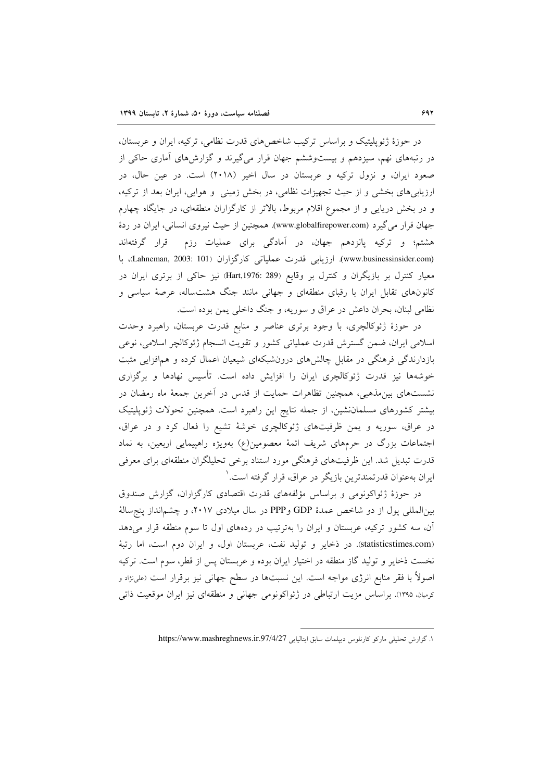در حوزهٔ ژئوپلیتیک و براساس ترکیب شاخصهای قدرت نظامی، ترکیه، ایران و عربستان، در رتبههای نهم، سیزدهم و بیستوششم جهان قرار میگیرند و گزارشهای آماری حاکی از صعود ایران، و نزول ترکیه و عربستان در سال اخیر (۲۰۱۸) است. در عین حال، در ارزیابیهای بخشی و از حیث تجهیزات نظامی، در بخش زمینی و هوایی، ایران بعد از ترکیه، و در بخش دریایی و از مجموع اقلام مربوط، بالاتر از کارگزاران منطقهای، در جایگاه چهارم جهان قرار می گیرد (www.globalfirepower.com). همچنین از حیث نیروی انسانی، ایران در ردهٔ هشتم؛ و ترکیه پانزدهم جهان، در آمادگی برای عملیات رزم قرار گرفتهاند (www.businessinsider.com). ارزيابي قدرت عملياتي كارگزاران (Lahneman, 2003: 101)، با معیار کنترل بر بازیگران و کنترل بر وقایع (Hart,1976: 289) نیز حاکی از برتری ایران در کانونهای تقابل ایران با رقبای منطقهای و جهانی مانند جنگ هشتساله، عرصهٔ سیاسی و نظامی لبنان، بحران داعش در عراق و سوریه، و جنگ داخلی یمن بوده است.

در حوزهٔ ژئوکالچری، با وجود برتری عناصر و منابع قدرت عربستان، راهبرد وحدت اسلامی ایران، ضمن گسترش قدرت عملیاتی کشور و تقویت انسجام ژئوکالچر اسلامی، نوعی بازدارندگی فرهنگی در مقابل چالشهای درونشبکهای شیعیان اعمال کرده و همافزایی مثبت خوشهها نیز قدرت ژئوکالچری ایران را افزایش داده است. تأسیس نهادها و برگزاری نشستهای بین.فهبی، همچنین تظاهرات حمایت از قدس در آخرین جمعهٔ ماه رمضان در بیشتر کشورهای مسلمان نشین، از جمله نتایج این راهبرد است. همچنین تحولات ژئوپلیتیک در عراق، سوریه و یمن ظرفیتهای ژئوکالچری خوشهٔ تشیع را فعال کرد و در عراق، اجتماعات بزرگ در حرمهای شریف ائمهٔ معصومین(ع) بهویژه راهپیمایی اربعین، به نماد قدرت تبدیل شد. این ظرفیتهای فرهنگی مورد استناد برخی تحلیلگران منطقهای برای معرفی ايران بهعنوان قدرتمندترين بازيگر در عراق، قرار گرفته است. '

در حوزهٔ ژئواکونومی و براساس مؤلفههای قدرت اقتصادی کارگزاران، گزارش صندوق بین المللی پول از دو شاخص عمدهٔ GDP وPPP در سال میلادی ۲۰۱۷، و چشم انداز پنج سالهٔ آن، سه کشور ترکیه، عربستان و ایران را بهترتیب در ردههای اول تا سوم منطقه قرار میدهد (statisticstimes.com). در ذخایر و تولید نفت، عربستان اول، و ایران دوم است، اما رتبهٔ نخست ذخایر و تولید گاز منطقه در اختیار ایران بوده و عربستان پس از قطر، سوم است. ترکیه اصولاً با فقر منابع انرژی مواجه است. این نسبتها در سطح جهانی نیز برقرار است (علینژاد و دمیان، ۱۳۹۵). براساس مزیت ارتباطی در ژئواکونومی جهانی و منطقهای نیز ایران موقعیت ذاتی

١. كزارش تحليلي ماركو كارنلوس ديپلمات سابق ايتاليايي https://www.mashreghnews.ir.97/4/27.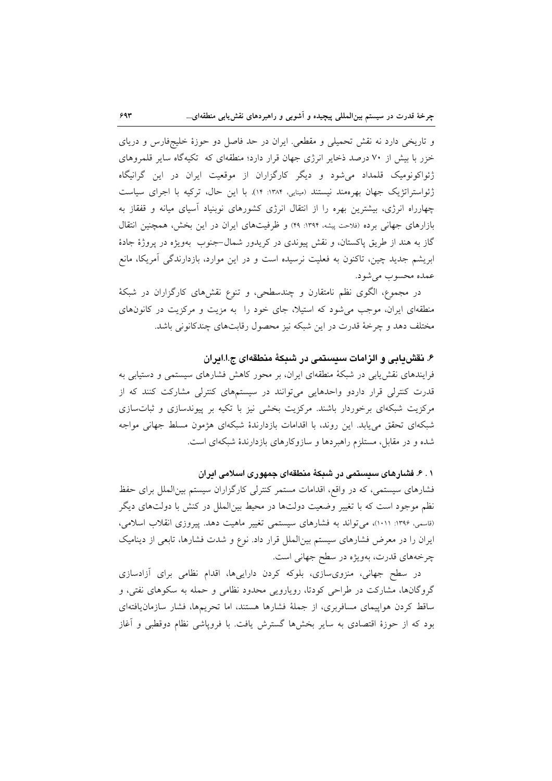و تاریخی دارد نه نقش تحمیلی و مقطعی. ایران در حد فاصل دو حوزهٔ خلیجفارس و دریای خزر با پیش از ۷۰ درصد ذخایر انرژی جهان قرار دارد؛ منطقهای که تکیهگاه سایر قلمروهای ژئواکونومیک قلمداد میشود و دیگر کارگزاران از موقعیت ایران در این گرانیگاه ژئواستراتژیک جهان بهرهمند نیستند (مینایی، ۱۳۸۴: ۱۴). با این حال، ترکیه با اجرای سیاست چهارراه انرژی، بیشترین بهره را از انتقال انرژی کشورهای نوبنیاد آسیای میانه و قفقاز به بازارهای جهانی برده (فلاحت پیشه، ۱۳۹۴: ۴۹) و ظرفیتهای ایران در این بخش، همچنین انتقال گاز به هند از طريق پاكستان، و نقش پيوندي در كريدور شمال-جنوب بهويژه در پروژهٔ جادهٔ ابریشم جدید چین، تاکنون به فعلیت نرسیده است و در این موارد، بازدارندگی آمریکا، مانع عمده محسوب مي شود.

در مجموع، الگوی نظم نامتقارن و چندسطحی، و تنوع نقشهای کارگزاران در شبکهٔ منطقهای ایران، موجب می شود که استیلا، جای خود را به مزیت و مرکزیت در کانونهای مختلف دهد و چرخهٔ قدرت در این شبکه نیز محصول رقابتهای چندکانونی باشد.

## ۶. نقش بابی و الزامات سیستمی در شبکهٔ منطقهای ج.ا.ایران

فرایندهای نقش یابی در شبکهٔ منطقهای ایران، بر محور کاهش فشارهای سیستمی و دستیابی به قدرت کنترلی قرار داردو واحدهایی می توانند در سیستمهای کنترلی مشارکت کنند که از مرکزیت شبکهای برخوردار باشند. مرکزیت بخشی نیز با تکیه بر پیوندسازی و ثباتسازی شبکهای تحقق می یابد. این روند، با اقدامات بازدارندهٔ شبکهای هژمون مسلط جهانی مواجه شده و در مقابل، مستلزم راهبردها و سازوكارهاي بازدارندهٔ شبكهاي است.

۰.۱ قشارهای سیستمی در شبکهٔ منطقهای جمهوری اسلامی ایران

فشارهای سیستمی، که در واقع، اقدامات مستمر کنترلی کارگزاران سیستم بینالملل برای حفظ نظم موجود است که با تغییر وضعیت دولتها در محیط بین|لملل در کنش با دولتهای دیگر (قاسمی، ۱۳۹۶: ۱۰۱۱)، می تواند به فشارهای سیستمی تغییر ماهیت دهد. پیروزی انقلاب اسلامی، ایران را در معرض فشارهای سیستم بینالملل قرار داد. نوع و شدت فشارها، تابعی از دینامیک چرخههای قدرت، بهویژه در سطح جهانی است.

در سطح جهانی، منزویسازی، بلوکه کردن داراییها، اقدام نظامی برای آزادسازی گروگانها، مشارکت در طراحی کودتا، رویارویی محدود نظامی و حمله به سکوهای نفتی، و ساقط کردن هواپیمای مسافربری، از جملهٔ فشارها هستند، اما تحریمها، فشار سازمان یافتهای بود که از حوزهٔ اقتصادی به سایر بخشها گسترش یافت. با فرویاشی نظام دوقطبی و آغاز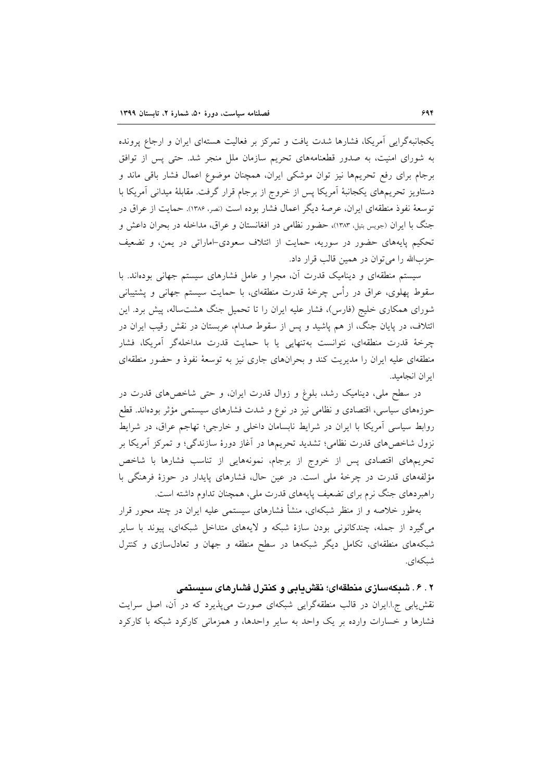یکجانبهگرایی آمریکا، فشارها شدت یافت و تمرکز بر فعالیت هستهای ایران و ارجاع پرونده به شورای امنیت، به صدور قطعنامههای تحریم سازمان ملل منجر شد. حتی پس از توافق برجام برای رفع تحریمها نیز توان موشکی ایران، همچنان موضوع اعمال فشار باقی ماند و دستاویز تحریمهای یکجانبهٔ آمریکا پس از خروج از برجام قرار گرفت. مقابلهٔ میدانی آمریکا با توسعهٔ نفوذِ منطقهای ایران، عرصهٔ دیگر اعمال فشار بوده است (نصر، ۱۳۸۶). حمایت از عراق در جنگ با ایران (جویس بتیل، ۱۳۸۳)، حضور نظامی در افغانستان و عراق، مداخله در بحران داعش و تحکیم پایههای حضور در سوریه، حمایت از ائتلاف سعودی-اماراتی در یمن، و تضعیف حزبالله را مي توان در همين قالب قرار داد.

سیستم منطقهای و دینامیک قدرت آن، مجرا و عامل فشارهای سیستم جهانی بودهاند. با سقوط پهلوی، عراق در رأس چرخهٔ قدرت منطقهای، با حمایت سیستم جهانی و پشتیبانی شورای همکاری خلیج (فارس)، فشار علیه ایران را تا تحمیل جنگ هشت $\omega$ اله، پیش برد. این ائتلاف، در پایان جنگ، از هم پاشید و پس از سقوط صدام، عربستان در نقش رقیب ایران در چرخهٔ قدرت منطقهای، نتوانست بهتنهایی یا با حمایت قدرت مداخلهگر آمریکا، فشار منطقهای علیه ایران را مدیریت کند و بحرانهای جاری نیز به توسعهٔ نفوذ و حضور منطقهای اير ان انجاميد.

در سطح ملی، دینامیک رشد، بلوغ و زوال قدرت ایران، و حتی شاخصهای قدرت در حوزههای سیاسی، اقتصادی و نظامی نیز در نوع و شدت فشارهای سیستمی مؤثر بودهاند. قطع روابط سیاسی آمریکا با ایران در شرایط نابسامان داخلی و خارجی؛ تهاجم عراق، در شرایط نزول شاخصهای قدرت نظامی؛ تشدید تحریمها در آغاز دورهٔ سازندگی؛ و تمرکز آمریکا بر تحریمهای اقتصادی پس از خروج از برجام، نمونههایی از تناسب فشارها با شاخص مؤلفههای قدرت در چرخهٔ ملی است. در عین حال، فشارهای پایدار در حوزهٔ فرهنگی با راهبردهای جنگ نرم برای تضعیف پایههای قدرت ملی، همچنان تداوم داشته است.

بهطور خلاصه و از منظر شبکهای، منشأ فشارهای سیستمی علیه ایران در چند محور قرار می گیرد از جمله، چندکانونی بودن سازهٔ شبکه و لایههای متداخل شبکهای، پیوند با سایر شبکههای منطقهای، تکامل دیگر شبکهها در سطح منطقه و جهان و تعادل سازی و کنترل شبكەاي.

۶ . ۶ . شبکهسازی منطقهای؛ نقش یابی و کنترل فشارهای سیستمی

نقش یابی ج.ا.ایران در قالب منطقهگرایی شبکهای صورت می پذیرد که در آن، اصل سرایت فشارها و خسارات وارده بر یک واحد به سایر واحدها، و همزمانی کارکرد شبکه با کارکرد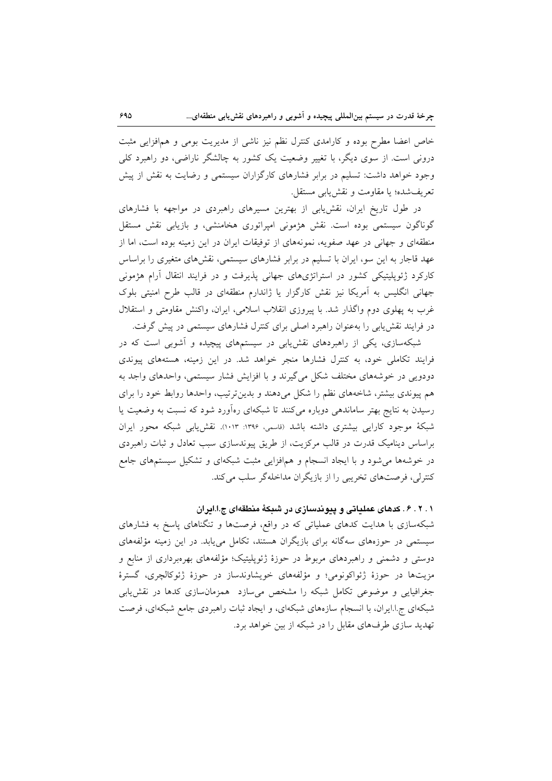خاص اعضا مطرح بوده و كارامدى كنترل نظم نيز ناشى از مديريت بومى و همافزايى مثبت درونی است. از سوی دیگر، با تغییر وضعیت یک کشور به چالشگر ناراضی، دو راهبرد کلی وجود خواهد داشت: تسلیم در برابر فشارهای کارگزاران سیستمی و رضایت به نقش از پیش تعريف شده؛ يا مقاومت و نقش يابي مستقل.

در طول تاریخ ایران، نقش یابی از بهترین مسیرهای راهبردی در مواجهه با فشارهای گوناگون سیستمی بوده است. نقش هژمونی امپراتوری هخامنشی، و بازیابی نقش مستقل منطقهای و جهانی در عهد صفویه، نمونههای از توفیقات ایران در این زمینه بوده است، اما از عهد قاجار به این سو، ایران با تسلیم در برابر فشارهای سیستمی، نقشهای متغیری را براساس کارکرد ژئوپلیتیکی کشور در استراتژیهای جهانی پذیرفت و در فرایند انتقال آرام هژمونی جهانی انگلیس به آمریکا نیز نقش کارگزار یا ژاندارم منطقهای در قالب طرح امنیتی بلوک غرب به پهلوی دوم واگذار شد. با پیروزی انقلاب اسلامی، ایران، واکنش مقاومتی و استقلال در فرایند نقش یابی را بهعنوان راهبرد اصلی برای کنترل فشارهای سیستمی در پیش گرفت.

شبکهسازی، یکی از راهبردهای نقش،یابی در سیستمهای پیچیده و آشوبی است که در فرایند تکاملی خود، به کنترل فشارها منجر خواهد شد. در این زمینه، هستههای پیوندی دودویی در خوشههای مختلف شکل میگیرند و با افزایش فشار سیستمی، واحدهای واجد به هم پیوندی بیشتر، شاخههای نظم را شکل میدهند و بدین ترتیب، واحدها روابط خود را برای رسیدن به نتایج بهتر ساماندهی دوباره میکنند تا شبکهای رهآورد شود که نسبت به وضعیت یا شبكهٔ موجود كارايي بيشتري داشته باشد (قاسمي، ١٣٩۶: ١٠١٣). نقش،يابي شبكه محور ايران براساس دینامیک قدرت در قالب مرکزیت، از طریق پیوندسازی سبب تعادل و ثبات راهبردی در خوشهها میشود و با ایجاد انسجام و همافزایی مثبت شبکهای و تشکیل سیستمهای جامع کنترلی، فرصتهای تخریبی را از بازیگران مداخلهگر سلب می کند.

۰. ۲. ۶. کدهای عملیاتی و پیوندسازی در شبکهٔ منطقهای ج.ا.ایران

شبکهسازی با هدایت کدهای عملیاتی که در واقع، فرصتها و تنگناهای پاسخ به فشارهای سیستمی در حوزههای سهگانه برای بازیگران هستند، تکامل می یابد. در این زمینه مؤلفههای دوستی و دشمنی و راهبردهای مربوط در حوزهٔ ژئوپلیتیک؛ مؤلفههای بهرهبرداری از منابع و مزيتها در حوزهٔ ژئواكونومي؛ و مؤلفههاي خويشاوندساز در حوزهٔ ژئوكالچرى، گسترهٔ جغرافیایی و موضوعی تکامل شبکه را مشخص میسازد همزمانسازی کدها در نقش یابی شبکهای ج.ا.ایران، با انسجام سازههای شبکهای، و ایجاد ثبات راهبردی جامع شبکهای، فرصت تهدید سازی طرفهای مقابل را در شبکه از بین خواهد برد.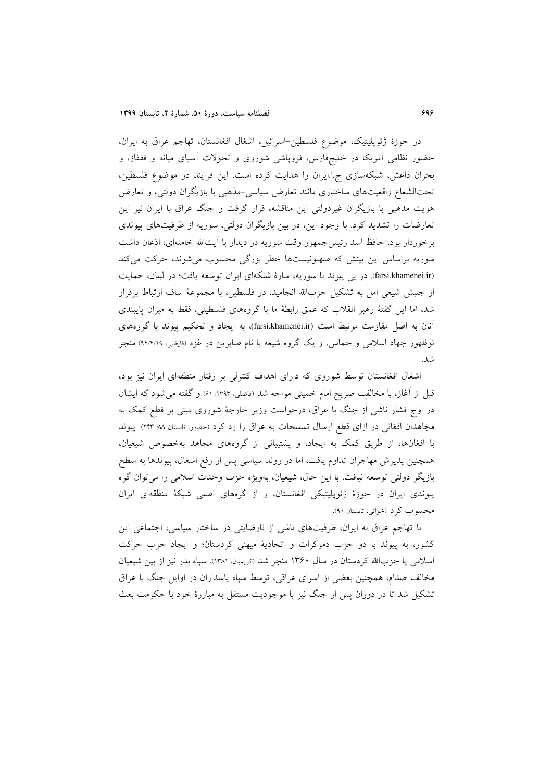در حوزهٔ ژئوپلیتیک، موضوع فلسطین-اسرائیل، اشغال افغانستان، تهاجم عراق به ایران، حضور نظامی آمریکا در خلیجفارس، فروپاشی شوروی و تحولات آسیای میانه و قفقاز، و بحران داعش، شبکهسازی ج.ا.ایران را هدایت کرده است. این فرایند در موضوع فلسطین، تحتالشعاع واقعیتهای ساختاری مانند تعارض سیاسی-مذهبی با بازیگران دولتی، و تعارض هویت مذهبی با بازیگران غیردولتی این مناقشه، قرار گرفت و جنگ عراق با ایران نیز این تعارضات را تشدید کرد. با وجود این، در بین بازیگران دولتی، سوریه از ظرفیتهای پیوندی برخوردار بود. حافظ اسد رئيس جمهور وقت سوريه در ديدار با أيت\لله خامنهاي، اذعان داشت سوریه براساس این بینش که صهیونیستها خطر بزرگی محسوب می شوند، حرکت می کند (farsi.khamenei.ir). در پی پیوند با سوریه، سازهٔ شبکهای ایران توسعه یافت؛ در لبنان، حمایت از جنبش شیعی امل به تشکیل حزبالله انجامید. در فلسطین، با مجموعهٔ ساف ارتباط برقرار شد، اما این گفتهٔ رهبر انقلاب که عمق رابطهٔ ما با گروههای فلسطینی، فقط به میزان پایبندی آنان به اصل مقاومت مرتبط است (farsi.khamenei.ir)، به ایجاد و تحکیم پیوند با گروههای نوظهور جهاد اسلامی و حماس، و یک گروه شیعه با نام صابرین در غزه (فایضی، ۹۴/۴/۱۹) منجر شد.

اشغال افغانستان توسط شوروی که دارای اهداف کنترلی بر رفتار منطقهای ایران نیز بود، قبل از آغاز، با مخالفت صریح امام خمینی مواجه شد (فاضلی، ۱۳۹۳: ۶۱) و گفته می شود که ایشان در اوج فشار ناشی از جنگ با عراق، درخواست وزیر خارجهٔ شوروی مبنی بر قطع کمک به مجاهدان افغانی در ازای قطع ارسال تسلیحات به عراق را رد کرد (حضور، تابستان ۸۸ ۲۴۳). پیوند با افغانها، از طریق کمک به ایجاد، و پشتیبانی از گروههای مجاهد بهخصوص شیعیان، همچنین پذیرش مهاجران تداوم یافت، اما در روند سیاسی پس از رفع اشغال، پیوندها به سطح بازیگر دولتی توسعه نیافت. با این حال، شیعیان، بهویژه حزب وحدت اسلامی را میتوان گره پیوندی ایران در حوزهٔ ژئوپلیتیکی افغانستان، و از گرههای اصلی شبکهٔ منطقهای ایران محسوب کرد (خواتی، تابستان ۹۰).

با تهاجم عراق به ایران، ظرفیتهای ناشی از نارضایتی در ساختار سیاسی، اجتماعی این کشور، به پیوند با دو حزب دموکرات و اتحادیهٔ میهنی کردستان؛ و ایجاد حزب حرکت اسلامی یا حزبالله کردستان در سال ۱۳۶۰ منجر شد (کریمیان، ۱۳۸۱). سیاه بدر نیز از بین شیعیان مخالف صدام، همچنین بعضی از اسرای عراقی، توسط سپاه پاسداران در اوایل جنگ با عراق تشکیل شد تا در دوران پس از جنگ نیز با موجودیت مستقل به مبارزهٔ خود با حکومت بعث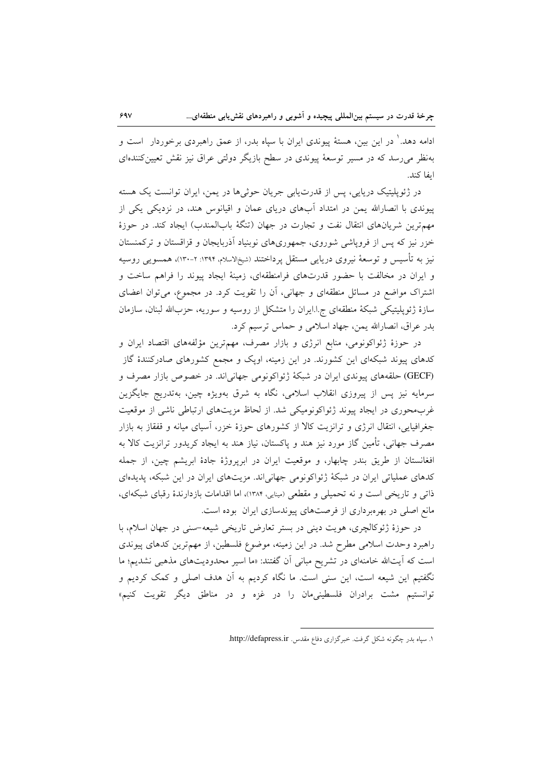ادامه دهد.' در این بین، هستهٔ پیوندی ایران با سپاه بدر، از عمق راهبردی برخوردار ً است و بهنظر می رسد که در مسیر توسعهٔ پیوندی در سطح بازیگر دولتی عراق نیز نقش تعیین کنندهای اىفا كند.

در ژئوپلیتیک دریایی، پس از قدرتLیابی جریان حوثیها در یمن، ایران توانست یک هسته پیوندی با انصارالله یمن در امتداد آبهای دریای عمان و اقیانوس هند، در نزدیکی یکی از مهمترین شریانهای انتقال نفت و تجارت در جهان (تنگهٔ بابالمندب) ایجاد کند. در حوزهٔ خزر نیز که پس از فروپاشی شوروی، جمهوریهای نوبنیاد آذربایجان و قزاقستان و ترکمنستان نیز به تأسیس و توسعهٔ نیروی دریایی مستقل پرداختند (شیخالاسلام، ۱۳۹۴: ۲-۱۳۰)، همسویی روسیه و ایران در مخالفت با حضور قدرتهای فرامنطقهای، زمینهٔ ایجاد پیوند را فراهم ساخت و اشتراک مواضع در مسائل منطقهای و جهانی، آن را تقویت کرد. در مجموع، می توان اعضای سازهٔ ژئوپلیتیکی شبکهٔ منطقهای ج ا.ایران را متشکل از روسیه و سوریه، حزبالله لبنان، سازمان بدر عراق، انصارالله يمن، جهاد اسلامي و حماس ترسيم كرد.

در حوزهٔ ژئواکونومی، منابع انرژی و بازار مصرف، مهمترین مؤلفههای اقتصاد ایران و کدهای پیوند شبکهای این کشورند. در این زمینه، اویک و مجمع کشورهای صادرکنندهٔ گاز (GECF) حلقههای پیوندی ایران در شبکهٔ ژئواکونومی جهانی اند. در خصوص بازار مصرف و سرمايه نيز پس از پيروزي انقلاب اسلامي، نگاه به شرق بهويژه چين، بهتدريج جايگزين غربمحوری در ایجاد پیوند ژئواکونومیکی شد. از لحاظ مزیتهای ارتباطی ناشی از موقعیت جغرافیایی، انتقال انرژی و ترانزیت کالا از کشورهای حوزهٔ خزر، آسیای میانه و قفقاز به بازار مصرف جهانی، تأمین گاز مورد نیز هند و پاکستان، نیاز هند به ایجاد کریدور ترانزیت کالا به افغانستان از طريق بندر چابهار، و موقعيت ايران در ابرپروژهٔ جادهٔ ابريشم چين، از جمله کدهای عملیاتی ایران در شبکهٔ ژئواکونومی جهانی اند. مزیتهای ایران در این شبکه، پدیدهای ذاتی و تاریخی است و نه تحمیلی و مقطعی (مینایی، ۱۳۸۴)، اما اقدامات بازدارندهٔ رقبای شبکهای، مانع اصلی در بهرهبرداری از فرصتهای پیوندسازی ایران بوده است.

در حوزهٔ ژئوکالچری، هویت دینی در بستر تعارض تاریخی شیعه-سنی در جهان اسلام، با راهبرد وحدت اسلامی مطرح شد. در این زمینه، موضوع فلسطین، از مهمترین کدهای پیوندی است که آیتالله خامنهای در تشریح مبانی آن گفتند: «ما اسیر محدودیتهای مذهبی نشدیم؛ ما نگفتیم این شیعه است، این سنی است. ما نگاه کردیم به آن هدف اصلی و کمک کردیم و توانستیم مشت برادران فلسطینیِمان را در غزه و در مناطق دیگر تقویت کنیم»

١. سپاه بدر چگونه شكل گرفت. خبرگزارى دفاع مقدس. http://defapress.ir.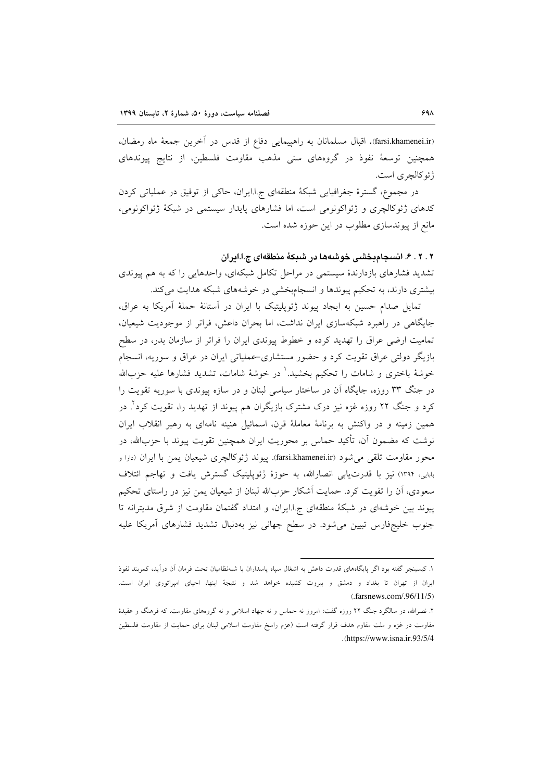(farsi.khamenei.ir). اقبال مسلمانان به راهپیمایی دفاع از قدس در آخرین جمعهٔ ماه رمضان، همچنین توسعهٔ نفوذ در گروههای سنی مذهب مقاومت فلسطین، از نتایج پیوندهای ژئوکالچری است.

در مجموع، گسترهٔ جغرافیایی شبکهٔ منطقهای ج.ا.ایران، حاکی از توفیق در عملیاتی کردن کدهای ژئوکالچری و ژئواکونومی است، اما فشارهای پایدار سیستمی در شبکهٔ ژئواکونومی، مانع از پیوندسازی مطلوب در این حوزه شده است.

# ٢ . ٢ . ۶ . انسجامبخشى خوشهها در شبكة منطقهاى ج.ا.ايران

تشدید فشارهای بازدارندهٔ سیستمی در مراحل تکامل شبکهای، واحدهایی را که به هم پیوندی بیشتری دارند، به تحکیم پیوندها و انسجامبخشی در خوشههای شبکه هدایت می کند.

تمایل صدام حسین به ایجاد پیوند ژئوپلیتیک با ایران در آستانهٔ حملهٔ آمریکا به عراق، جایگاهی در راهبرد شبکهسازی ایران نداشت، اما بحران داعش، فراتر از موجودیت شیعیان، تمامیت ارضی عراق را تهدید کرده و خطوط پیوندی ایران را فراتر از سازمان بدر، در سطح بازیگر دولتی عراق تقویت کرد و حضور مستشاری–عملیاتی ایران در عراق و سوریه، انسجام خوشهٔ باختری و شامات را تحکیم بخشید.<sup>۱</sup> در خوشهٔ شامات، تشدید فشارها علیه حزبالله در جنگ ۳۳ روزه، جایگاه آن در ساختار سیاسی لبنان و در سازه پیوندی با سوریه تقویت را کرد و جنگ ۲۲ روزه غزه نیز درک مشترک بازیگران هم پیوند از تهدید را، تقویت کرد ٌ. در همین زمینه و در واکنش به برنامهٔ معاملهٔ قرن، اسمائیل هنیئه نامهای به رهبر انقلاب ایران نوشت که مضمون آن، تأکید حماس بر محوریت ایران همچنین تقویت پیوند با حزبالله، در محور مقاومت تلقی می شود (farsi.khamenei.ir). پیوند ژئوکالچری شیعیان یمن با ایران (دارا و بابایی، ۱۳۹۴) نیز با قدرتLبابی انصارالله، به حوزهٔ ژئوپلیتیک گسترش یافت و تهاجم ائتلاف سعودی، آن را تقویت کرد. حمایت آشکار حزبالله لبنان از شیعیان یمن نیز در راستای تحکیم پیوند بین خوشهای در شبکهٔ منطقهای ج.ا.ایران، و امتداد گفتمان مقاومت از شرق مدیترانه تا جنوب خلیجفارس تبیین میشود. در سطح جهانی نیز بهدنبال تشدید فشارهای آمریکا علیه

١. كيسينجر گفته بود اگر پايگاههاي قدرت داعش به اشغال سياه ياسداران يا شبهنظاميان تحت فرمان آن درآيد، كمربند نفوذ ایران از تهران تا بغداد و دمشق و بیروت کشیده خواهد شد و نتیجهٔ اینها، احیای امپراتوری ایران است.  $(.\text{farsnews.com}/.96/11/5)$ 

۲. نصرالله، در سالگرد جنگ ۲۲ روزه گفت: امروز نه حماس و نه جهاد اسلامی و نه گروههای مقاومت، که فرهنگ و عقیدهٔ مقاومت در غزه و ملت مقاوم هدف قرار گرفته است (عزم راسخ مقاومت اسلامی لبنان برای حمایت از مقاومت فلسطین .(https://www.isna.ir.93/5/4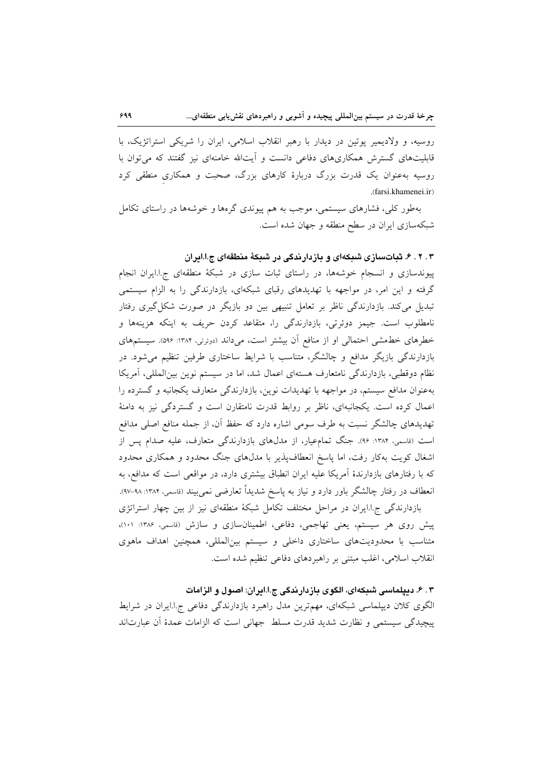روسیه، و ولادیمیر پوتین در دیدار با رهبر انقلاب اسلامی، ایران را شریکی استراتژیک، با قابلیتهای گسترش همکاریهای دفاعی دانست و آیتالله خامنهای نیز گفتند که می توان با روسیه بهعنوان یک قدرت بزرگ دربارهٔ کارهای بزرگ، صحبت و همکاری منطقی کرد (farsi khamenei ir)

بهطور کلی، فشارهای سیستمی، موجب به هم پیوندی گرهها و خوشهها در راستای تکامل شبکهسازی ایران در سطح منطقه و جهان شده است.

#### ۰. ۲. ۶ شباتسازی شبکهای و بازدارندگی در شبکهٔ منطقهای ج.ا.ایران

پیوندسازی و انسجام خوشهها، در راستای ثبات سازی در شبکهٔ منطقهای ج.ا.ایران انجام گرفته و این امر، در مواجهه با تهدیدهای رقبای شبکهای، بازدارندگی را به الزام سیستمی تبدیل میکند. بازدارندگی ناظر بر تعامل تنبیهی بین دو بازیگر در صورت شکل گیری رفتار نامطلوب است. جيمز دوئرتي، بازدارندگي را، متقاعد كردن حريف به اينكه هزينهها و خطرهای خطمشی احتمالی او از منافع آن بیشتر است، میداند (دوئرتی، ۱۳۸۴: ۵۹۶). سیستمهای بازدارندگی بازیگر مدافع و چالشگر، متناسب با شرایط ساختاری طرفین تنظیم میشود. در نظام دوقطبی، بازدارندگی نامتعارف هستهای اعمال شد، اما در سیستم نوین بین المللی، آمریکا بهعنوان مدافع سیستم، در مواجهه با تهدیدات نوین، بازدارندگی متعارف یکجانبه و گسترده را اعمال کرده است. یکجانبهای، ناظر بر روابط قدرت نامتقارن است و گستردگی نیز به دامنهٔ تهدیدهای چالشگر نسبت به طرف سومی اشاره دارد که حفظ آن، از جمله منافع اصلی مدافع است (قاسمی، ۱۳۸۴: ۹۶). جنگ تمام،عیار، از مدلهای بازدارندگی متعارف، علیه صدام پس از اشغال کویت بهکار رفت، اما پاسخ انعطافپذیر با مدلهای جنگ محدود و همکاری محدود که با رفتارهای بازدارندهٔ آمریکا علیه ایران انطباق بیشتری دارد، در مواقعی است که مدافع، به انعطاف در رفتار چالشگر باور دارد و نیاز به پاسخ شدیداً تعارضی نمی بیند (قاسمی، ۱۳۸۴: ۹۸-۹۷).

بازدارندگی ج.ا.ایران در مراحل مختلف تکامل شبکهٔ منطقهای نیز از بین چهار استراتژی پیش روی هر سیستم، یعنی تهاجمی، دفاعی، اطمینانسازی و سازش (قاسمی، ۱۳۸۶: ۱۰۱)، متناسب با محدودیتهای ساختاری داخلی و سیستم بین المللی، همچنین اهداف ماهوی انقلاب اسلامی، اغلب مبتنی بر راهبردهای دفاعی تنظیم شده است.

## ۰.۳ دیپلماسی شبکهای، الگوی بازدارندگی ج.ا.ایران: اصول و الزامات

الگوی کلان دیپلماسی شبکهای، مهمترین مدل راهبرد بازدارندگی دفاعی ج.ا.ایران در شرایط پیچیدگی سیستمی و نظارت شدید قدرت مسلط جهانی است که الزامات عمدهٔ أن عبارتاند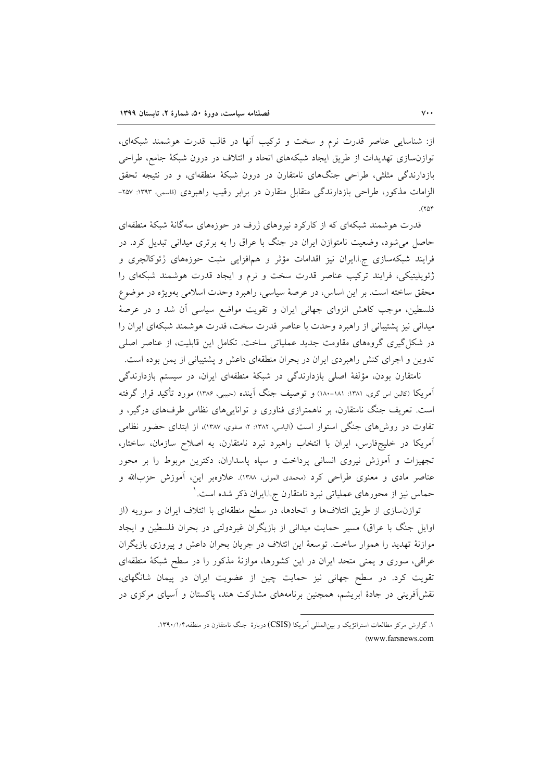از: شناسایی عناصر قدرت نرم و سخت و ترکیب آنها در قالب قدرت هوشمند شبکهای، توازنسازی تهدیدات از طریق ایجاد شبکههای اتحاد و ائتلاف در درون شبکهٔ جامع، طراحی بازدارندگی مثلثی، طراحی جنگهای نامتقارن در درون شبکهٔ منطقهای، و در نتیجه تحقق الزامات مذکور، طراحی بازدارندگی متقابل متقارن در برابر رقیب راهبردی (قاسمی، ۱۳۹۳: ۲۵۷- $(107)$ 

قدرت هوشمند شبکهای که از کارکرد نیروهای ژرف در حوزههای سهگانهٔ شبکهٔ منطقهای حاصل می شود، وضعیت نامتوازن ایران در جنگ با عراق را به برتری میدانی تبدیل کرد. در فرایند شبکهسازی ج اایران نیز اقدامات مؤثر و همافزایی مثبت حوزههای ژئوکالچری و ژئوپلیتیکی، فرایند ترکیب عناصر قدرت سخت و نرم و ایجاد قدرت هوشمند شبکهای را محقق ساخته است. بر این اساس، در عرصهٔ سیاسی، راهبرد وحدت اسلامی بهویژه در موضوع فلسطین، موجب کاهش انزوای جهانی ایران و تقویت مواضع سیاسی آن شد و در عرصهٔ میدانی نیز پشتیبانی از راهبرد وحدت با عناصر قدرت سخت، قدرت هوشمند شبکهای ایران را در شکل گیری گروههای مقاومت جدید عملیاتی ساخت. تکامل این قابلیت، از عناصر اصلی تدوین و اجرای کنش راهبردی ایران در بحران منطقهای داعش و پشتیبانی از یمن بوده است.

نامتقارن بودن، مؤلفهٔ اصلی بازدارندگی در شبکهٔ منطقهای ایران، در سیستم بازدارندگی آمریکا (کالین اس گری، ۱۳۸۱: ۱۸۱-۱۸۰) و توصیف جنگ آینده (حبیبی، ۱۳۸۶) مورد تأکید قرار گرفته است. تعریف جنگ نامتقارن، بر ناهمترازی فناوری و تواناییهای نظامی طرفهای درگیر، و تفاوت در روشهای جنگی استوار است (الیاسی، ۱۳۸۲: ۲: صفوی، ۱۳۸۷)، از ابتدای حضور نظامی آمریکا در خلیجفارس، ایران با انتخاب راهبرد نبرد نامتقارن، به اصلاح سازمان، ساختار، تجهیزات و آموزش نیروی انسانی پرداخت و سپاه پاسداران، دکترین مربوط را بر محور عناصر مادی و معنوی طراحی کرد (محمدی الموتی، ۱۳۸۸). علاوهبر این، آموزش حزبالله و حماس نیز از محورهای عملیاتی نبرد نامتقارن ج.ا.ایران ذکر شده است. ٰ

توازن سازی از طریق ائتلافها و اتحادها، در سطح منطقهای با ائتلاف ایران و سوریه (از اوایل جنگ با عراق) مسیر حمایت میدانی از بازیگران غیردولتی در بحران فلسطین و ایجاد موازنهٔ تهدید را هموار ساخت. توسعهٔ این ائتلاف در جریان بحران داعش و پیروزی بازیگران عراقی، سوری و یمنی متحد ایران در این کشورها، موازنهٔ مذکور را در سطح شبکهٔ منطقهای تقویت کرد. در سطح جهانی نیز حمایت چین از عضویت ایران در پیمان شانگهای، نقشآفوینی در جادهٔ ابریشم، همچنین برنامههای مشارکت هند، پاکستان و آسیای مرکزی در

> ۱. گزارش مرکز مطالعات استراتژیک و بین المللی آمریکا (CSIS) دربارهٔ جنگ نامتقارن در منطقه،۱۳۹۰/۱/۴ (www.farsnews.com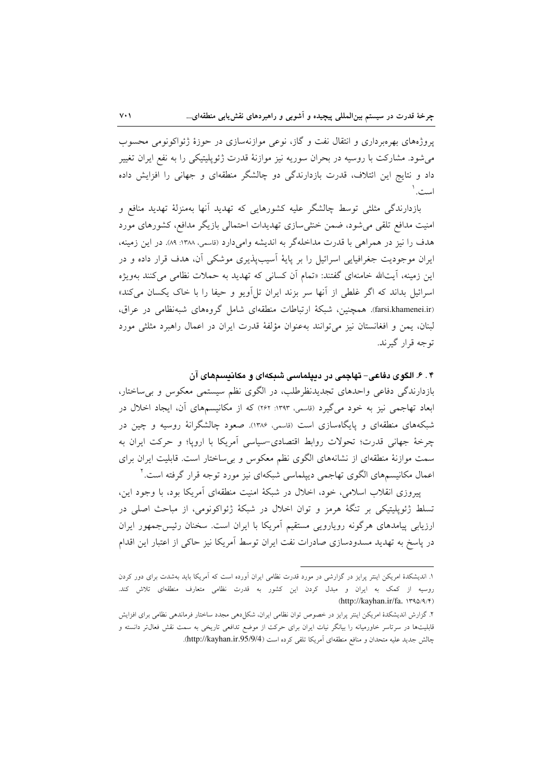پروژههای بهرهبرداری و انتقال نفت و گاز، نوعی موازنهسازی در حوزهٔ ژئواکونومی محسوب می شود. مشارکت با روسیه در بحران سوریه نیز موازنهٔ قدرت ژئوپلیتیکی را به نفع ایران تغییر داد و نتایج این ائتلاف، قدرت بازدارندگی دو چالشگر منطقهای و جهانی را افزایش داده ان خي

بازدارندگی مثلثی توسط چالشگر علیه کشورهایی که تهدید آنها بهمنزلهٔ تهدید منافع و امنیت مدافع تلقی می شود، ضمن خنثی سازی تهدیدات احتمالی بازیگر مدافع، کشورهای مورد هدف را نیز در همراهی با قدرت مداخلهگر به اندیشه وامیدارد (قاسمی، ۱۳۸۸: ۸۹). در این زمینه، ایران موجودیت جغرافیایی اسرائیل را بر پایهٔ آسیبپذیری موشکی آن، هدف قرار داده و در این زمینه، آیتالله خامنهای گفتند: «تمام آن کسانی که تهدید به حملات نظامی میکنند بهویژه اسرائیل بداند که اگر غلطی از آنها سر بزند ایران تل اَویو و حیفا را با خاک یکسان می کند» (farsi.khamenei.ir). همچنین، شبکهٔ ارتباطات منطقهای شامل گروههای شبهنظامی در عراق، لبنان، يمن و افغانستان نيز مي توانند بهعنوان مؤلفة قدرت ايران در اعمال راهبرد مثلثى مورد توجه قرار گیرند.

۴ . ۶. الگوی دفاعی- تهاجمی در دیپلماسی شبکهای و مکانیسمهای آن بازدارندگی دفاعی واحدهای تجدیدنظرطلب، در الگوی نظم سیستمی معکوس و بی ساختار، ابعاد تهاجمی نیز به خود میگیرد (قاسمی، ۱۳۹۳: ۲۶۲) که از مکانیسمهای آن، ایجاد اخلال در شبکههای منطقهای و پایگاهسازی است (قاسمی، ۱۳۸۶). صعود چالشگرانهٔ روسیه و چین در چرخهٔ جهانی قدرت؛ تحولات روابط اقتصادی-سیاسی آمریکا با اروپا؛ و حرکت ایران به سمت موازنهٔ منطقهای از نشانههای الگوی نظم معکوس و بی ساختار است. قابلیت ایران برای اعمال مکانیسمهای الگوی تهاجمی دیپلماسی شبکهای نیز مورد توجه قرار گرفته است. ٔ

پیروزی انقلاب اسلامی، خود، اخلال در شبکهٔ امنیت منطقهای آمریکا بود، با وجود این، تسلط ژئوپلیتیکی بر تنگهٔ هرمز و توان اخلال در شبکهٔ ژئواکونومی، از مباحث اصلی در ارزیابی پیامدهای هرگونه رویارویی مستقیم آمریکا با ایران است. سخنان رئیس جمهور ایران در پاسخ به تهدید مسدودسازی صادرات نفت ایران توسط آمریکا نیز حاکی از اعتبار این اقدام

۱. اندیشکدهٔ امریکن اینتر پرایز در گزارشی در مورد قدرت نظامی ایران آورده است که آمریکا باید بهشدت برای دور کردن روسیه از کمک به ایران و مبدل کردن این کشور به قدرت نظامی متعارف منطقهای تلاش کند. (http://kayhan.ir/fa. ١٣٩٥/٩/٢)

۲. گزارش اندیشکدهٔ امریکن اینتر پرایز در خصوص توان نظامی ایران، شکل(هی مجدد ساختار فرماندهی نظامی برای افزایش قابلیتها در سرتاسر خاورمیانه را بیانگر نیات ایران برای حرکت از موضع تدافعی تاریخی به سمت نقش فعال $تر دانسته و$ چالش جدید علیه متحدان و منافع منطقهای آمریکا تلقی کرده است (http://kayhan.ir.95/9/4).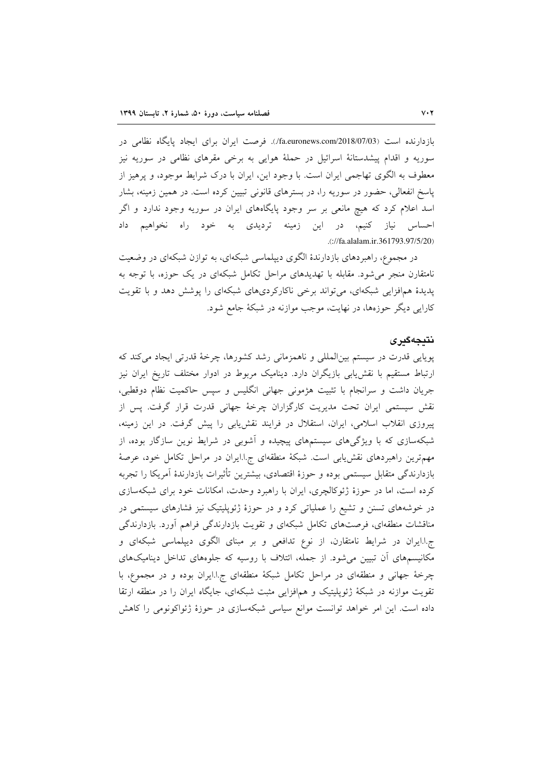بازدارنده است (fa.euronews.com/2018/07/03/). فرصت ايران براي ايجاد پايگاه نظامي در سوریه و اقدام پیشدستانهٔ اسرائیل در حملهٔ هوایی به برخی مقرهای نظامی در سوریه نیز معطوف به الگوی تهاجمی ایران است. با وجود این، ایران با درک شرایط موجود، و پرهیز از پاسخ انفعالی، حضور در سوریه را، در بسترهای قانونی تبیین کرده است. در همین زمینه، بشار اسد اعلام کرد که هیچ مانعی بر سر وجود پایگاههای ایران در سوریه وجود ندارد و اگر احساس نیاز کنیم، در این زمینه تردیدی به خود راه نخواهیم داد .://fa.alalam.ir.361793.97/5/20)

در مجموع، راهبردهای بازدارندهٔ الگوی دیپلماسی شبکهای، به توازن شبکهای در وضعیت نامتقارن منجر می شود. مقابله با تهدیدهای مراحل تکامل شبکهای در یک حوزه، با توجه به پدیدهٔ همافزایی شبکهای، می تواند برخی ناکارکردیهای شبکهای را پوشش دهد و با تقویت کارایی دیگر حوزهها، در نهایت، موجب موازنه در شبکهٔ جامع شود.

#### نتىجەگىرى

پویایی قدرت در سیستم بین|لمللی و ناهمزمانی رشد کشورها، چرخهٔ قدرتی ایجاد میکند که ارتباط مستقیم با نقش،یابی بازیگران دارد. دینامیک مربوط در ادوار مختلف تاریخ ایران نیز جريان داشت و سرانجام با تثبيت هژموني جهاني انگليس و سيس حاكميت نظام دوقطبي، نقش سیستمی ایران تحت مدیریت کارگزاران چرخهٔ جهانی قدرت قرار گرفت. پس از پیروزی انقلاب اسلامی، ایران، استقلال در فرایند نقش،یابی را پیش گرفت. در این زمینه، شبکهسازی که با ویژگیهای سیستمهای پیچیده و آشویی در شرایط نوین سازگار بوده، از مهمترین راهبردهای نقش یابی است. شبکهٔ منطقهای ج.ا.ایران در مراحل تکامل خود، عرصهٔ بازدارندگی متقابل سیستمی بوده و حوزهٔ اقتصادی، بیشترین تأثیرات بازدارندهٔ آمریکا را تجربه کرده است، اما در حوزهٔ ژئوکالچری، ایران با راهبرد وحدت، امکانات خود برای شبکهسازی در خوشههای تسنن و تشیع را عملیاتی کرد و در حوزهٔ ژئوپلیتیک نیز فشارهای سیستمی در مناقشات منطقهای، فرصتهای تکامل شبکهای و تقویت بازدارندگی فراهم آورد. بازدارندگی ج.ا.ایران در شرایط نامتقارن، از نوع تدافعی و بر مبنای الگوی دیپلماسی شبکهای و مکانیسمهای آن تبیین می شود. از جمله، ائتلاف با روسیه که جلوههای تداخل دینامیکهای چرخهٔ جهانی و منطقهای در مراحل تکامل شبکهٔ منطقهای ج.ا.ایران بوده و در مجموع، با تقویت موازنه در شبکهٔ ژئوپلیتیک و همافزایی مثبت شبکهای، جایگاه ایران را در منطقه ارتقا داده است. این امر خواهد توانست موانع سیاسی شبکهسازی در حوزهٔ ژئواکونومی را کاهش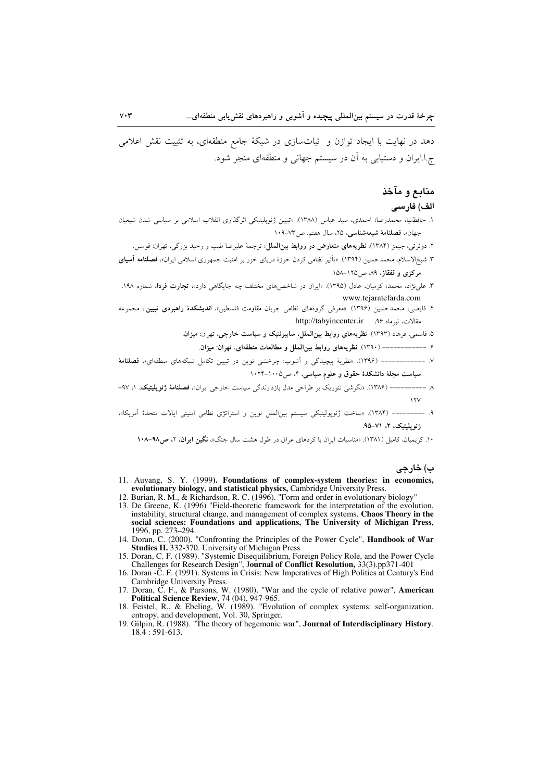دهد در نهایت با ایجاد توازن و ثباتسازی در شبکهٔ جامع منطقهای، به تثبیت نقش اعلامی ج.ا.ایران و دستیابی به آن در سیستم جهانی و منطقهای منجر شود.

### منابع و مآخذ

### الف) فارسى

- ١. حافظنيا، محمدرضا؛ احمدي، سيد عباس (١٣٨٨). «تبيين ژئويليتيكي اثرگذاري انقلاب اسلامي بر سياسي شدن شيعيان جهان»، فصلنامهٔ شیعهشناسی، ۲۵، سال هفتم. ص۳-۱۰۹
	- ۲. دوئرتی، جیمز (۱۳۸۴). **نظریههای متعارض در روابط بین|لملل**؛ ترجمهٔ علیرضا طیب و وحید بزرگی، تهران: قومس.
- ۳. شیخالاسلام، محمدحسین (۱۳۹۴). «تأثیر نظامی کردن حوزهٔ دریای خزر بر امنیت جمهوری اسلامی ایران»، **فصلنامه آسیای** مرکزی و قفقاز، ۸۹ ص ۱۲۵–۱۵۸.
- ۳. علی نژاد، محمد؛ کرمیان، عادل (۱۳۹۵). «ایران در شاخصهای مختلف چه جایگاهی دارد»، **تجارت فردا**، شماره ۱۹۸. www.tejaratefarda.com
- ۴. فایضی، محمدحسین (۱۳۹۶). «معرفی گروههای نظامی جریان مقاومت فلسطین»، **اندیشکدهٔ راهبردی تبیین**.، مجموعه مقالات، تيرماه ٩۶، http://tabyincenter.ir.

۵. قاسمی، فرهاد (۱۳۹۳). نظریههای روابط بینالملل، سایبرنتیک و سیاست خارجی، تهران: میزان.

- ۶. \_\_\_\_\_\_\_\_\_\_\_\_\_ (۱۳۹۰). نظریههای روابط بین|لملل و مطالعات منطقهای، تهران: میزان.
- ۷. -------------- (۱۳۹۶). «نظریهٔ پیچیدگی و آشوب: چرخشی نوین در تبیین تکامل شبکههای منطقهای»، **فصلنامهٔ** سیاست مجلهٔ دانشکدهٔ حقوق و علوم سیاسی، ۴، ص۱۰۰۵–۱۰۲۴
- ۸ ---------- (۱۳۸۶). «نگرشی تئوریک بر طراحی مدل بازدارندگی سیاست خارجی ایران»، فصلنامهٔ ژئویلیتیک، ۱، ۹۷-
- ٩. –––––––– (١٣٨۴). «ساخت ژئوپوليتيکي سيستم بين|لملل نوين و استراتژي نظامي امنيتي ايالات متحدهٔ اَمريکا»، ژئوپلیتیک، ۲، ۷۱–۹۵.
	- ۱۰. کریمیان، کامیل (۱۳۸۱). «مناسبات ایران با کردهای عراق در طول هشت سال جنگ»، نگین ایران، ۲، ص۸۸-۱۰۸

# ب) خارجي

- 11. Auyang, S. Y. (1999). Foundations of complex-system theories: in economics, evolutionary biology, and statistical physics, Cambridge University Press.
- 12. Burian, R. M., & Richardson, R. C. (1996). "Form and order in evolutionary biology"
- 13. De Greene, K. (1996) "Field-theoretic framework for the interpretation of the evolution, instability, structural change, and management of complex systems. Chaos Theory in the social sciences: Foundations and applications, The University of Michigan Press, 1996, pp. 273–294.<br>
14. Doran, C. (2000). "Confronting the Principles of the Power Cycle", **Handbook of War**
- Studies II. 332-370. University of Michigan Press
- 15. Doran, C. F. (1989). "Systemic Disequilibrium, Foreign Policy Role, and the Power Cycle Challenges for Research Design", Journal of Conflict Resolution, 33(3).pp371-401
- 16. Doran C. F. (1991). Systems in Crisis: New Imperatives of High Politics at Century's End Cambridge University Press.
- 17. Doran, C. F., & Parsons, W. (1980). "War and the cycle of relative power", **American**<br> **Political Science Review**, 74 (04), 947-965.<br>
18. Feistel, R., & Ebeling, W. (1989). "Evolution of complex systems: self-organizat
- entropy, and development, Vol. 30, Springer.<br>19. Gilpin, R. (1988). "The theory of hegemonic war", **Journal of Interdisciplinary History**.
- $18.\overline{4}$ : 591-613.